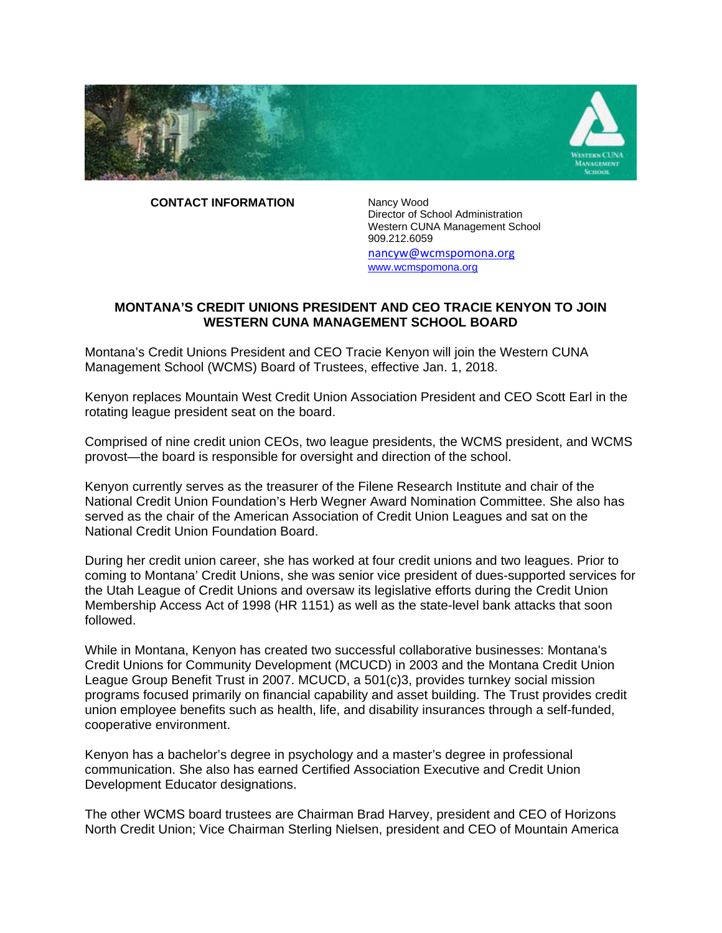

 **CONTACT INFORMATION** 

Nancy Wood Director of School Administration Western CUNA Management School 909.212.6059 nancyw@wcmspomona.org www.wcmspomona.org

## **MONTANA'S CREDIT UNIONS PRESIDENT AND CEO TRACIE KENYON TO JOIN WESTERN CUNA MANAGEMENT SCHOOL BOARD**

Montana's Credit Unions President and CEO Tracie Kenyon will join the Western CUNA Management School (WCMS) Board of Trustees, effective Jan. 1, 2018.

Kenyon replaces Mountain West Credit Union Association President and CEO Scott Earl in the rotating league president seat on the board.

Comprised of nine credit union CEOs, two league presidents, the WCMS president, and WCMS provost—the board is responsible for oversight and direction of the school.

Kenyon currently serves as the treasurer of the Filene Research Institute and chair of the National Credit Union Foundation's Herb Wegner Award Nomination Committee. She also has served as the chair of the American Association of Credit Union Leagues and sat on the National Credit Union Foundation Board.

During her credit union career, she has worked at four credit unions and two leagues. Prior to coming to Montana' Credit Unions, she was senior vice president of dues-supported services for the Utah League of Credit Unions and oversaw its legislative efforts during the Credit Union Membership Access Act of 1998 (HR 1151) as well as the state-level bank attacks that soon followed.

While in Montana, Kenyon has created two successful collaborative businesses: Montana's Credit Unions for Community Development (MCUCD) in 2003 and the Montana Credit Union League Group Benefit Trust in 2007. MCUCD, a 501(c)3, provides turnkey social mission programs focused primarily on financial capability and asset building. The Trust provides credit union employee benefits such as health, life, and disability insurances through a self-funded, cooperative environment.

Kenyon has a bachelor's degree in psychology and a master's degree in professional communication. She also has earned Certified Association Executive and Credit Union Development Educator designations.

The other WCMS board trustees are Chairman Brad Harvey, president and CEO of Horizons North Credit Union; Vice Chairman Sterling Nielsen, president and CEO of Mountain America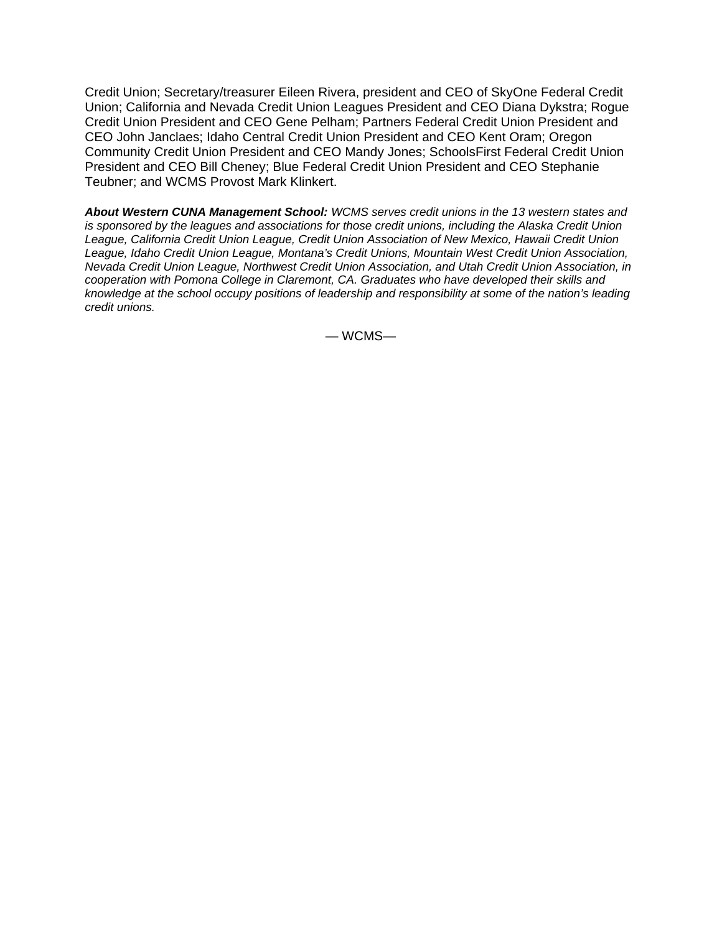Credit Union; Secretary/treasurer Eileen Rivera, president and CEO of SkyOne Federal Credit Union; California and Nevada Credit Union Leagues President and CEO Diana Dykstra; Rogue Credit Union President and CEO Gene Pelham; Partners Federal Credit Union President and CEO John Janclaes; Idaho Central Credit Union President and CEO Kent Oram; Oregon Community Credit Union President and CEO Mandy Jones; SchoolsFirst Federal Credit Union President and CEO Bill Cheney; Blue Federal Credit Union President and CEO Stephanie Teubner; and WCMS Provost Mark Klinkert.

*About Western CUNA Management School: WCMS serves credit unions in the 13 western states and is sponsored by the leagues and associations for those credit unions, including the Alaska Credit Union League, California Credit Union League, Credit Union Association of New Mexico, Hawaii Credit Union League, Idaho Credit Union League, Montana's Credit Unions, Mountain West Credit Union Association, Nevada Credit Union League, Northwest Credit Union Association, and Utah Credit Union Association, in cooperation with Pomona College in Claremont, CA. Graduates who have developed their skills and knowledge at the school occupy positions of leadership and responsibility at some of the nation's leading credit unions.* 

— WCMS—